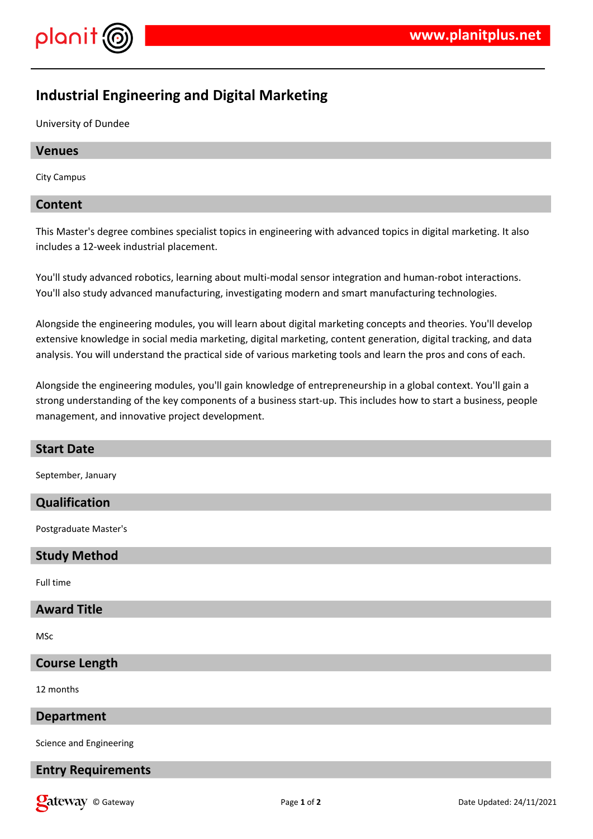

# **Industrial Engineering and Digital Marketing**

University of Dundee

# **Venues**

City Campus

# **Content**

This Master's degree combines specialist topics in engineering with advanced topics in digital marketing. It also includes a 12-week industrial placement.

You'll study advanced robotics, learning about multi-modal sensor integration and human-robot interactions. You'll also study advanced manufacturing, investigating modern and smart manufacturing technologies.

Alongside the engineering modules, you will learn about digital marketing concepts and theories. You'll develop extensive knowledge in social media marketing, digital marketing, content generation, digital tracking, and data analysis. You will understand the practical side of various marketing tools and learn the pros and cons of each.

Alongside the engineering modules, you'll gain knowledge of entrepreneurship in a global context. You'll gain a strong understanding of the key components of a business start-up. This includes how to start a business, people management, and innovative project development.

| <b>Start Date</b>         |
|---------------------------|
| September, January        |
| Qualification             |
| Postgraduate Master's     |
| <b>Study Method</b>       |
| Full time                 |
| <b>Award Title</b>        |
| MSc                       |
| <b>Course Length</b>      |
| 12 months                 |
| <b>Department</b>         |
| Science and Engineering   |
| <b>Entry Requirements</b> |